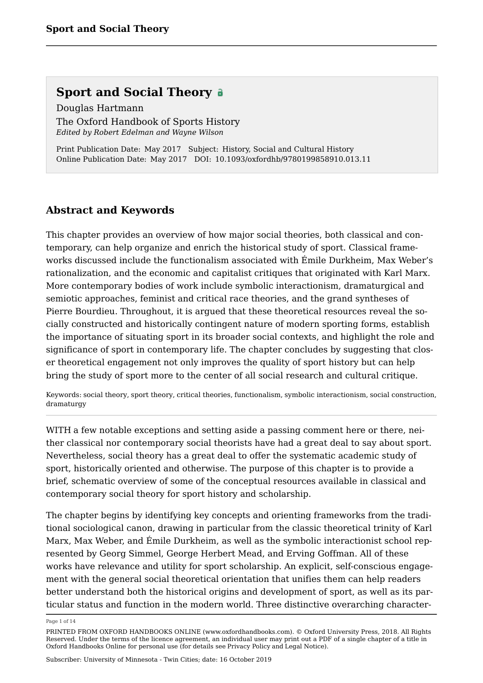Douglas Hartmann The Oxford Handbook of Sports History *Edited by Robert Edelman and Wayne Wilson*

Print Publication Date: May 2017 Subject: History, Social and Cultural History Online Publication Date: May 2017 DOI: 10.1093/oxfordhb/9780199858910.013.11

#### **Abstract and Keywords**

This chapter provides an overview of how major social theories, both classical and contemporary, can help organize and enrich the historical study of sport. Classical frameworks discussed include the functionalism associated with Émile Durkheim, Max Weber's rationalization, and the economic and capitalist critiques that originated with Karl Marx. More contemporary bodies of work include symbolic interactionism, dramaturgical and semiotic approaches, feminist and critical race theories, and the grand syntheses of Pierre Bourdieu. Throughout, it is argued that these theoretical resources reveal the socially constructed and historically contingent nature of modern sporting forms, establish the importance of situating sport in its broader social contexts, and highlight the role and significance of sport in contemporary life. The chapter concludes by suggesting that closer theoretical engagement not only improves the quality of sport history but can help bring the study of sport more to the center of all social research and cultural critique.

Keywords: social theory, sport theory, critical theories, functionalism, symbolic interactionism, social construction, dramaturgy

WITH a few notable exceptions and setting aside a passing comment here or there, neither classical nor contemporary social theorists have had a great deal to say about sport. Nevertheless, social theory has a great deal to offer the systematic academic study of sport, historically oriented and otherwise. The purpose of this chapter is to provide a brief, schematic overview of some of the conceptual resources available in classical and contemporary social theory for sport history and scholarship.

The chapter begins by identifying key concepts and orienting frameworks from the traditional sociological canon, drawing in particular from the classic theoretical trinity of Karl Marx, Max Weber, and Émile Durkheim, as well as the symbolic interactionist school represented by Georg Simmel, George Herbert Mead, and Erving Goffman. All of these works have relevance and utility for sport scholarship. An explicit, self-conscious engagement with the general social theoretical orientation that unifies them can help readers better understand both the historical origins and development of sport, as well as its particular status and function in the modern world. Three distinctive overarching character

Page 1 of 14

PRINTED FROM OXFORD HANDBOOKS ONLINE (www.oxfordhandbooks.com). © Oxford University Press, 2018. All Rights Reserved. Under the terms of the licence agreement, an individual user may print out a PDF of a single chapter of a title in Oxford Handbooks Online for personal use (for details see Privacy Policy and Legal Notice).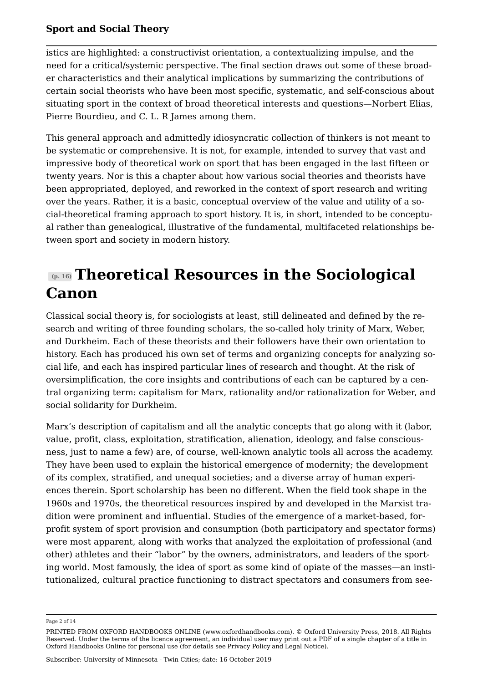istics are highlighted: a constructivist orientation, a contextualizing impulse, and the need for a critical/systemic perspective. The final section draws out some of these broader characteristics and their analytical implications by summarizing the contributions of certain social theorists who have been most specific, systematic, and self-conscious about situating sport in the context of broad theoretical interests and questions—Norbert Elias, Pierre Bourdieu, and C. L. R James among them.

This general approach and admittedly idiosyncratic collection of thinkers is not meant to be systematic or comprehensive. It is not, for example, intended to survey that vast and impressive body of theoretical work on sport that has been engaged in the last fifteen or twenty years. Nor is this a chapter about how various social theories and theorists have been appropriated, deployed, and reworked in the context of sport research and writing over the years. Rather, it is a basic, conceptual overview of the value and utility of a social-theoretical framing approach to sport history. It is, in short, intended to be conceptual rather than genealogical, illustrative of the fundamental, multifaceted relationships between sport and society in modern history.

### **(p. 16) Theoretical Resources in the Sociological Canon**

Classical social theory is, for sociologists at least, still delineated and defined by the research and writing of three founding scholars, the so-called holy trinity of Marx, Weber, and Durkheim. Each of these theorists and their followers have their own orientation to history. Each has produced his own set of terms and organizing concepts for analyzing social life, and each has inspired particular lines of research and thought. At the risk of oversimplification, the core insights and contributions of each can be captured by a central organizing term: capitalism for Marx, rationality and/or rationalization for Weber, and social solidarity for Durkheim.

Marx's description of capitalism and all the analytic concepts that go along with it (labor, value, profit, class, exploitation, stratification, alienation, ideology, and false consciousness, just to name a few) are, of course, well-known analytic tools all across the academy. They have been used to explain the historical emergence of modernity; the development of its complex, stratified, and unequal societies; and a diverse array of human experiences therein. Sport scholarship has been no different. When the field took shape in the 1960s and 1970s, the theoretical resources inspired by and developed in the Marxist tradition were prominent and influential. Studies of the emergence of a market-based, forprofit system of sport provision and consumption (both participatory and spectator forms) were most apparent, along with works that analyzed the exploitation of professional (and other) athletes and their "labor" by the owners, administrators, and leaders of the sporting world. Most famously, the idea of sport as some kind of opiate of the masses—an institutionalized, cultural practice functioning to distract spectators and consumers from see

Page 2 of 14

PRINTED FROM OXFORD HANDBOOKS ONLINE (www.oxfordhandbooks.com). © Oxford University Press, 2018. All Rights Reserved. Under the terms of the licence agreement, an individual user may print out a PDF of a single chapter of a title in Oxford Handbooks Online for personal use (for details see Privacy Policy and Legal Notice).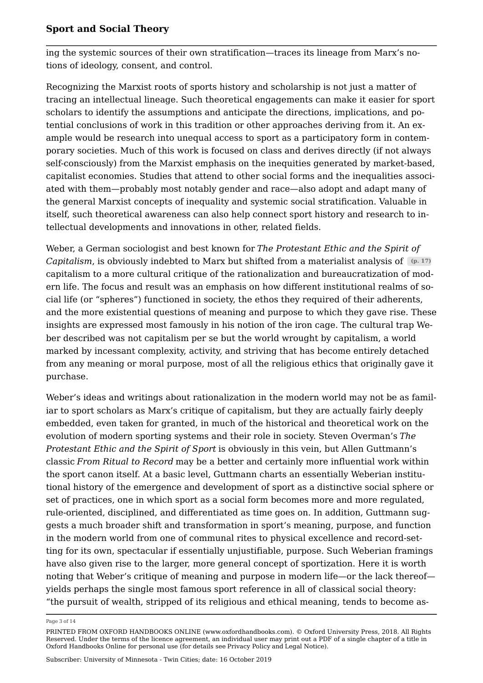ing the systemic sources of their own stratification—traces its lineage from Marx's notions of ideology, consent, and control.

Recognizing the Marxist roots of sports history and scholarship is not just a matter of tracing an intellectual lineage. Such theoretical engagements can make it easier for sport scholars to identify the assumptions and anticipate the directions, implications, and potential conclusions of work in this tradition or other approaches deriving from it. An example would be research into unequal access to sport as a participatory form in contemporary societies. Much of this work is focused on class and derives directly (if not always self-consciously) from the Marxist emphasis on the inequities generated by market-based, capitalist economies. Studies that attend to other social forms and the inequalities associated with them—probably most notably gender and race—also adopt and adapt many of the general Marxist concepts of inequality and systemic social stratification. Valuable in itself, such theoretical awareness can also help connect sport history and research to intellectual developments and innovations in other, related fields.

Weber, a German sociologist and best known for *The Protestant Ethic and the Spirit of Capitalism*, is obviously indebted to Marx but shifted from a materialist analysis of **(p. 17)** capitalism to a more cultural critique of the rationalization and bureaucratization of modern life. The focus and result was an emphasis on how different institutional realms of social life (or "spheres") functioned in society, the ethos they required of their adherents, and the more existential questions of meaning and purpose to which they gave rise. These insights are expressed most famously in his notion of the iron cage. The cultural trap Weber described was not capitalism per se but the world wrought by capitalism, a world marked by incessant complexity, activity, and striving that has become entirely detached from any meaning or moral purpose, most of all the religious ethics that originally gave it purchase.

Weber's ideas and writings about rationalization in the modern world may not be as familiar to sport scholars as Marx's critique of capitalism, but they are actually fairly deeply embedded, even taken for granted, in much of the historical and theoretical work on the evolution of modern sporting systems and their role in society. Steven Overman's *The Protestant Ethic and the Spirit of Sport* is obviously in this vein, but Allen Guttmann's classic *From Ritual to Record* may be a better and certainly more influential work within the sport canon itself. At a basic level, Guttmann charts an essentially Weberian institutional history of the emergence and development of sport as a distinctive social sphere or set of practices, one in which sport as a social form becomes more and more regulated, rule-oriented, disciplined, and differentiated as time goes on. In addition, Guttmann suggests a much broader shift and transformation in sport's meaning, purpose, and function in the modern world from one of communal rites to physical excellence and record-setting for its own, spectacular if essentially unjustifiable, purpose. Such Weberian framings have also given rise to the larger, more general concept of sportization. Here it is worth noting that Weber's critique of meaning and purpose in modern life—or the lack thereof yields perhaps the single most famous sport reference in all of classical social theory: "the pursuit of wealth, stripped of its religious and ethical meaning, tends to become as

Page 3 of 14

PRINTED FROM OXFORD HANDBOOKS ONLINE (www.oxfordhandbooks.com). © Oxford University Press, 2018. All Rights Reserved. Under the terms of the licence agreement, an individual user may print out a PDF of a single chapter of a title in Oxford Handbooks Online for personal use (for details see Privacy Policy and Legal Notice).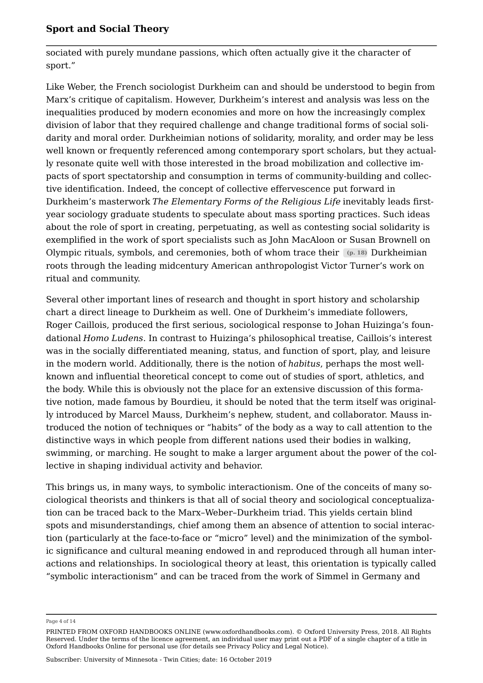sociated with purely mundane passions, which often actually give it the character of sport."

Like Weber, the French sociologist Durkheim can and should be understood to begin from Marx's critique of capitalism. However, Durkheim's interest and analysis was less on the inequalities produced by modern economies and more on how the increasingly complex division of labor that they required challenge and change traditional forms of social solidarity and moral order. Durkheimian notions of solidarity, morality, and order may be less well known or frequently referenced among contemporary sport scholars, but they actually resonate quite well with those interested in the broad mobilization and collective impacts of sport spectatorship and consumption in terms of community-building and collective identification. Indeed, the concept of collective effervescence put forward in Durkheim's masterwork *The Elementary Forms of the Religious Life* inevitably leads firstyear sociology graduate students to speculate about mass sporting practices. Such ideas about the role of sport in creating, perpetuating, as well as contesting social solidarity is exemplified in the work of sport specialists such as John MacAloon or Susan Brownell on Olympic rituals, symbols, and ceremonies, both of whom trace their **(p. 18)** Durkheimian roots through the leading midcentury American anthropologist Victor Turner's work on ritual and community.

Several other important lines of research and thought in sport history and scholarship chart a direct lineage to Durkheim as well. One of Durkheim's immediate followers, Roger Caillois, produced the first serious, sociological response to Johan Huizinga's foundational *Homo Ludens*. In contrast to Huizinga's philosophical treatise, Caillois's interest was in the socially differentiated meaning, status, and function of sport, play, and leisure in the modern world. Additionally, there is the notion of *habitus*, perhaps the most wellknown and influential theoretical concept to come out of studies of sport, athletics, and the body. While this is obviously not the place for an extensive discussion of this formative notion, made famous by Bourdieu, it should be noted that the term itself was originally introduced by Marcel Mauss, Durkheim's nephew, student, and collaborator. Mauss introduced the notion of techniques or "habits" of the body as a way to call attention to the distinctive ways in which people from different nations used their bodies in walking, swimming, or marching. He sought to make a larger argument about the power of the collective in shaping individual activity and behavior.

This brings us, in many ways, to symbolic interactionism. One of the conceits of many sociological theorists and thinkers is that all of social theory and sociological conceptualization can be traced back to the Marx–Weber–Durkheim triad. This yields certain blind spots and misunderstandings, chief among them an absence of attention to social interaction (particularly at the face-to-face or "micro" level) and the minimization of the symbolic significance and cultural meaning endowed in and reproduced through all human interactions and relationships. In sociological theory at least, this orientation is typically called "symbolic interactionism" and can be traced from the work of Simmel in Germany and

Page 4 of 14

PRINTED FROM OXFORD HANDBOOKS ONLINE (www.oxfordhandbooks.com). © Oxford University Press, 2018. All Rights Reserved. Under the terms of the licence agreement, an individual user may print out a PDF of a single chapter of a title in Oxford Handbooks Online for personal use (for details see Privacy Policy and Legal Notice).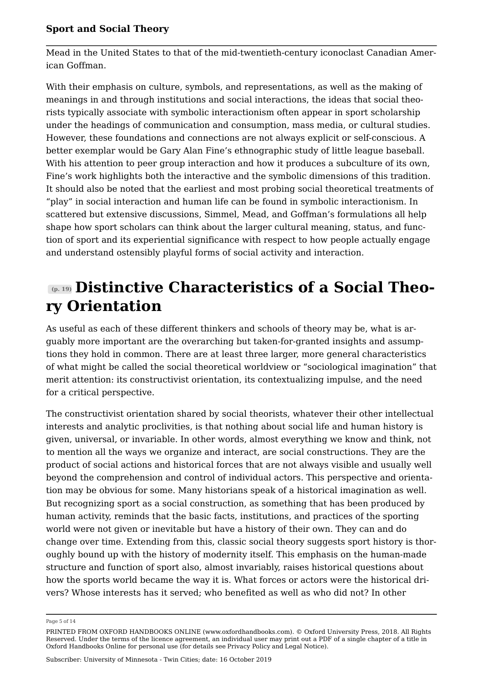Mead in the United States to that of the mid-twentieth-century iconoclast Canadian American Goffman.

With their emphasis on culture, symbols, and representations, as well as the making of meanings in and through institutions and social interactions, the ideas that social theorists typically associate with symbolic interactionism often appear in sport scholarship under the headings of communication and consumption, mass media, or cultural studies. However, these foundations and connections are not always explicit or self-conscious. A better exemplar would be Gary Alan Fine's ethnographic study of little league baseball. With his attention to peer group interaction and how it produces a subculture of its own, Fine's work highlights both the interactive and the symbolic dimensions of this tradition. It should also be noted that the earliest and most probing social theoretical treatments of "play" in social interaction and human life can be found in symbolic interactionism. In scattered but extensive discussions, Simmel, Mead, and Goffman's formulations all help shape how sport scholars can think about the larger cultural meaning, status, and function of sport and its experiential significance with respect to how people actually engage and understand ostensibly playful forms of social activity and interaction.

### **(p. 19) Distinctive Characteristics of a Social Theory Orientation**

As useful as each of these different thinkers and schools of theory may be, what is arguably more important are the overarching but taken-for-granted insights and assumptions they hold in common. There are at least three larger, more general characteristics of what might be called the social theoretical worldview or "sociological imagination" that merit attention: its constructivist orientation, its contextualizing impulse, and the need for a critical perspective.

The constructivist orientation shared by social theorists, whatever their other intellectual interests and analytic proclivities, is that nothing about social life and human history is given, universal, or invariable. In other words, almost everything we know and think, not to mention all the ways we organize and interact, are social constructions. They are the product of social actions and historical forces that are not always visible and usually well beyond the comprehension and control of individual actors. This perspective and orientation may be obvious for some. Many historians speak of a historical imagination as well. But recognizing sport as a social construction, as something that has been produced by human activity, reminds that the basic facts, institutions, and practices of the sporting world were not given or inevitable but have a history of their own. They can and do change over time. Extending from this, classic social theory suggests sport history is thoroughly bound up with the history of modernity itself. This emphasis on the human-made structure and function of sport also, almost invariably, raises historical questions about how the sports world became the way it is. What forces or actors were the historical drivers? Whose interests has it served; who benefited as well as who did not? In other

Page 5 of 14

PRINTED FROM OXFORD HANDBOOKS ONLINE (www.oxfordhandbooks.com). © Oxford University Press, 2018. All Rights Reserved. Under the terms of the licence agreement, an individual user may print out a PDF of a single chapter of a title in Oxford Handbooks Online for personal use (for details see Privacy Policy and Legal Notice).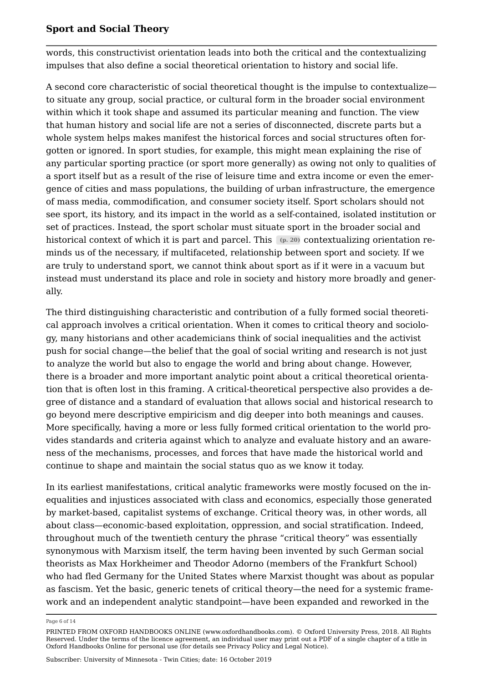words, this constructivist orientation leads into both the critical and the contextualizing impulses that also define a social theoretical orientation to history and social life.

A second core characteristic of social theoretical thought is the impulse to contextualize to situate any group, social practice, or cultural form in the broader social environment within which it took shape and assumed its particular meaning and function. The view that human history and social life are not a series of disconnected, discrete parts but a whole system helps makes manifest the historical forces and social structures often forgotten or ignored. In sport studies, for example, this might mean explaining the rise of any particular sporting practice (or sport more generally) as owing not only to qualities of a sport itself but as a result of the rise of leisure time and extra income or even the emergence of cities and mass populations, the building of urban infrastructure, the emergence of mass media, commodification, and consumer society itself. Sport scholars should not see sport, its history, and its impact in the world as a self-contained, isolated institution or set of practices. Instead, the sport scholar must situate sport in the broader social and historical context of which it is part and parcel. This  $(p. 20)$  contextualizing orientation reminds us of the necessary, if multifaceted, relationship between sport and society. If we are truly to understand sport, we cannot think about sport as if it were in a vacuum but instead must understand its place and role in society and history more broadly and generally.

The third distinguishing characteristic and contribution of a fully formed social theoretical approach involves a critical orientation. When it comes to critical theory and sociology, many historians and other academicians think of social inequalities and the activist push for social change—the belief that the goal of social writing and research is not just to analyze the world but also to engage the world and bring about change. However, there is a broader and more important analytic point about a critical theoretical orientation that is often lost in this framing. A critical-theoretical perspective also provides a degree of distance and a standard of evaluation that allows social and historical research to go beyond mere descriptive empiricism and dig deeper into both meanings and causes. More specifically, having a more or less fully formed critical orientation to the world provides standards and criteria against which to analyze and evaluate history and an awareness of the mechanisms, processes, and forces that have made the historical world and continue to shape and maintain the social status quo as we know it today.

In its earliest manifestations, critical analytic frameworks were mostly focused on the inequalities and injustices associated with class and economics, especially those generated by market-based, capitalist systems of exchange. Critical theory was, in other words, all about class—economic-based exploitation, oppression, and social stratification. Indeed, throughout much of the twentieth century the phrase "critical theory" was essentially synonymous with Marxism itself, the term having been invented by such German social theorists as Max Horkheimer and Theodor Adorno (members of the Frankfurt School) who had fled Germany for the United States where Marxist thought was about as popular as fascism. Yet the basic, generic tenets of critical theory—the need for a systemic framework and an independent analytic standpoint—have been expanded and reworked in the

Page 6 of 14

PRINTED FROM OXFORD HANDBOOKS ONLINE (www.oxfordhandbooks.com). © Oxford University Press, 2018. All Rights Reserved. Under the terms of the licence agreement, an individual user may print out a PDF of a single chapter of a title in Oxford Handbooks Online for personal use (for details see Privacy Policy and Legal Notice).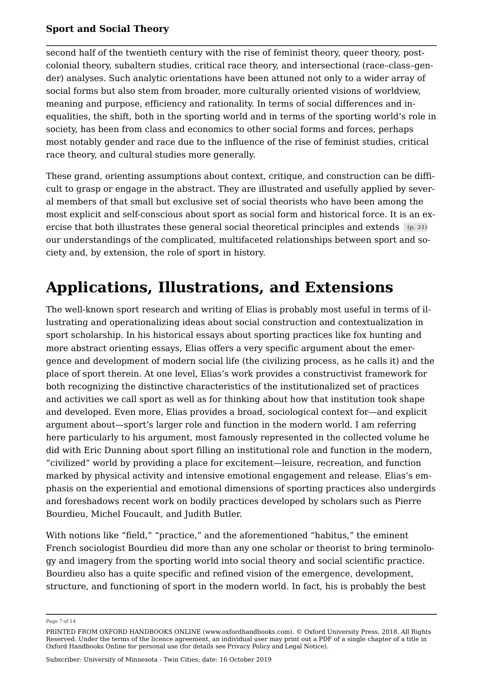second half of the twentieth century with the rise of feminist theory, queer theory, postcolonial theory, subaltern studies, critical race theory, and intersectional (race–class–gender) analyses. Such analytic orientations have been attuned not only to a wider array of social forms but also stem from broader, more culturally oriented visions of worldview, meaning and purpose, efficiency and rationality. In terms of social differences and inequalities, the shift, both in the sporting world and in terms of the sporting world's role in society, has been from class and economics to other social forms and forces, perhaps most notably gender and race due to the influence of the rise of feminist studies, critical race theory, and cultural studies more generally.

These grand, orienting assumptions about context, critique, and construction can be difficult to grasp or engage in the abstract. They are illustrated and usefully applied by several members of that small but exclusive set of social theorists who have been among the most explicit and self-conscious about sport as social form and historical force. It is an exercise that both illustrates these general social theoretical principles and extends **(p. 21)** our understandings of the complicated, multifaceted relationships between sport and society and, by extension, the role of sport in history.

# **Applications, Illustrations, and Extensions**

The well-known sport research and writing of Elias is probably most useful in terms of illustrating and operationalizing ideas about social construction and contextualization in sport scholarship. In his historical essays about sporting practices like fox hunting and more abstract orienting essays, Elias offers a very specific argument about the emergence and development of modern social life (the civilizing process, as he calls it) and the place of sport therein. At one level, Elias's work provides a constructivist framework for both recognizing the distinctive characteristics of the institutionalized set of practices and activities we call sport as well as for thinking about how that institution took shape and developed. Even more, Elias provides a broad, sociological context for—and explicit argument about—sport's larger role and function in the modern world. I am referring here particularly to his argument, most famously represented in the collected volume he did with Eric Dunning about sport filling an institutional role and function in the modern, "civilized" world by providing a place for excitement—leisure, recreation, and function marked by physical activity and intensive emotional engagement and release. Elias's emphasis on the experiential and emotional dimensions of sporting practices also undergirds and foreshadows recent work on bodily practices developed by scholars such as Pierre Bourdieu, Michel Foucault, and Judith Butler.

With notions like "field," "practice," and the aforementioned "habitus," the eminent French sociologist Bourdieu did more than any one scholar or theorist to bring terminology and imagery from the sporting world into social theory and social scientific practice. Bourdieu also has a quite specific and refined vision of the emergence, development, structure, and functioning of sport in the modern world. In fact, his is probably the best

Page 7 of 14

PRINTED FROM OXFORD HANDBOOKS ONLINE (www.oxfordhandbooks.com). © Oxford University Press, 2018. All Rights Reserved. Under the terms of the licence agreement, an individual user may print out a PDF of a single chapter of a title in Oxford Handbooks Online for personal use (for details see Privacy Policy and Legal Notice).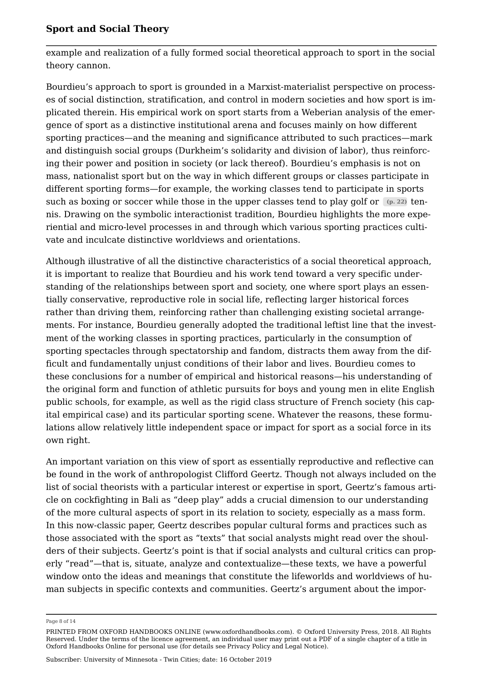example and realization of a fully formed social theoretical approach to sport in the social theory cannon.

Bourdieu's approach to sport is grounded in a Marxist-materialist perspective on processes of social distinction, stratification, and control in modern societies and how sport is implicated therein. His empirical work on sport starts from a Weberian analysis of the emergence of sport as a distinctive institutional arena and focuses mainly on how different sporting practices—and the meaning and significance attributed to such practices—mark and distinguish social groups (Durkheim's solidarity and division of labor), thus reinforcing their power and position in society (or lack thereof). Bourdieu's emphasis is not on mass, nationalist sport but on the way in which different groups or classes participate in different sporting forms—for example, the working classes tend to participate in sports such as boxing or soccer while those in the upper classes tend to play golf or  $(p. 22)$  tennis. Drawing on the symbolic interactionist tradition, Bourdieu highlights the more experiential and micro-level processes in and through which various sporting practices cultivate and inculcate distinctive worldviews and orientations.

Although illustrative of all the distinctive characteristics of a social theoretical approach, it is important to realize that Bourdieu and his work tend toward a very specific understanding of the relationships between sport and society, one where sport plays an essentially conservative, reproductive role in social life, reflecting larger historical forces rather than driving them, reinforcing rather than challenging existing societal arrangements. For instance, Bourdieu generally adopted the traditional leftist line that the investment of the working classes in sporting practices, particularly in the consumption of sporting spectacles through spectatorship and fandom, distracts them away from the difficult and fundamentally unjust conditions of their labor and lives. Bourdieu comes to these conclusions for a number of empirical and historical reasons—his understanding of the original form and function of athletic pursuits for boys and young men in elite English public schools, for example, as well as the rigid class structure of French society (his capital empirical case) and its particular sporting scene. Whatever the reasons, these formulations allow relatively little independent space or impact for sport as a social force in its own right.

An important variation on this view of sport as essentially reproductive and reflective can be found in the work of anthropologist Clifford Geertz. Though not always included on the list of social theorists with a particular interest or expertise in sport, Geertz's famous article on cockfighting in Bali as "deep play" adds a crucial dimension to our understanding of the more cultural aspects of sport in its relation to society, especially as a mass form. In this now-classic paper, Geertz describes popular cultural forms and practices such as those associated with the sport as "texts" that social analysts might read over the shoulders of their subjects. Geertz's point is that if social analysts and cultural critics can properly "read"—that is, situate, analyze and contextualize—these texts, we have a powerful window onto the ideas and meanings that constitute the lifeworlds and worldviews of human subjects in specific contexts and communities. Geertz's argument about the impor

Page 8 of 14

PRINTED FROM OXFORD HANDBOOKS ONLINE (www.oxfordhandbooks.com). © Oxford University Press, 2018. All Rights Reserved. Under the terms of the licence agreement, an individual user may print out a PDF of a single chapter of a title in Oxford Handbooks Online for personal use (for details see Privacy Policy and Legal Notice).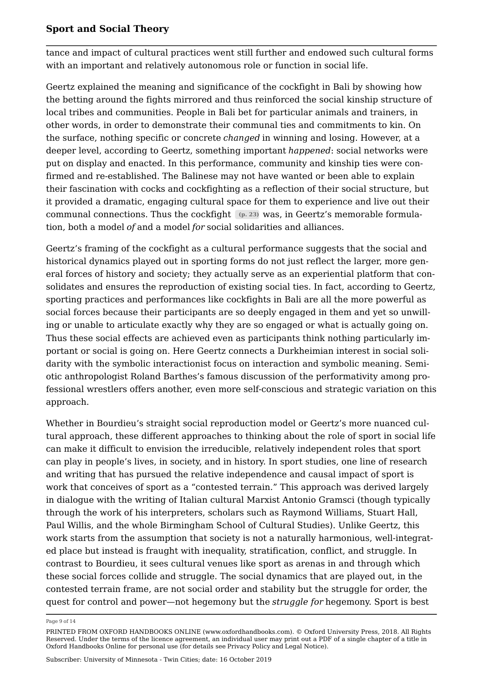tance and impact of cultural practices went still further and endowed such cultural forms with an important and relatively autonomous role or function in social life.

Geertz explained the meaning and significance of the cockfight in Bali by showing how the betting around the fights mirrored and thus reinforced the social kinship structure of local tribes and communities. People in Bali bet for particular animals and trainers, in other words, in order to demonstrate their communal ties and commitments to kin. On the surface, nothing specific or concrete *changed* in winning and losing. However, at a deeper level, according to Geertz, something important *happened*: social networks were put on display and enacted. In this performance, community and kinship ties were confirmed and re-established. The Balinese may not have wanted or been able to explain their fascination with cocks and cockfighting as a reflection of their social structure, but it provided a dramatic, engaging cultural space for them to experience and live out their communal connections. Thus the cockfight **(p. 23)** was, in Geertz's memorable formulation, both a model *of* and a model *for* social solidarities and alliances.

Geertz's framing of the cockfight as a cultural performance suggests that the social and historical dynamics played out in sporting forms do not just reflect the larger, more general forces of history and society; they actually serve as an experiential platform that consolidates and ensures the reproduction of existing social ties. In fact, according to Geertz, sporting practices and performances like cockfights in Bali are all the more powerful as social forces because their participants are so deeply engaged in them and yet so unwilling or unable to articulate exactly why they are so engaged or what is actually going on. Thus these social effects are achieved even as participants think nothing particularly important or social is going on. Here Geertz connects a Durkheimian interest in social solidarity with the symbolic interactionist focus on interaction and symbolic meaning. Semiotic anthropologist Roland Barthes's famous discussion of the performativity among professional wrestlers offers another, even more self-conscious and strategic variation on this approach.

Whether in Bourdieu's straight social reproduction model or Geertz's more nuanced cultural approach, these different approaches to thinking about the role of sport in social life can make it difficult to envision the irreducible, relatively independent roles that sport can play in people's lives, in society, and in history. In sport studies, one line of research and writing that has pursued the relative independence and causal impact of sport is work that conceives of sport as a "contested terrain." This approach was derived largely in dialogue with the writing of Italian cultural Marxist Antonio Gramsci (though typically through the work of his interpreters, scholars such as Raymond Williams, Stuart Hall, Paul Willis, and the whole Birmingham School of Cultural Studies). Unlike Geertz, this work starts from the assumption that society is not a naturally harmonious, well-integrated place but instead is fraught with inequality, stratification, conflict, and struggle. In contrast to Bourdieu, it sees cultural venues like sport as arenas in and through which these social forces collide and struggle. The social dynamics that are played out, in the contested terrain frame, are not social order and stability but the struggle for order, the quest for control and power—not hegemony but the *struggle for* hegemony. Sport is best

Page 9 of 14

PRINTED FROM OXFORD HANDBOOKS ONLINE (www.oxfordhandbooks.com). © Oxford University Press, 2018. All Rights Reserved. Under the terms of the licence agreement, an individual user may print out a PDF of a single chapter of a title in Oxford Handbooks Online for personal use (for details see Privacy Policy and Legal Notice).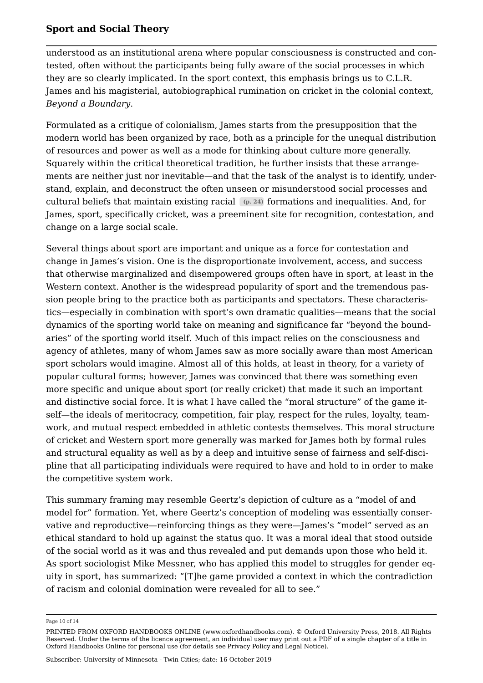understood as an institutional arena where popular consciousness is constructed and contested, often without the participants being fully aware of the social processes in which they are so clearly implicated. In the sport context, this emphasis brings us to C.L.R. James and his magisterial, autobiographical rumination on cricket in the colonial context, *Beyond a Boundary*.

Formulated as a critique of colonialism, James starts from the presupposition that the modern world has been organized by race, both as a principle for the unequal distribution of resources and power as well as a mode for thinking about culture more generally. Squarely within the critical theoretical tradition, he further insists that these arrangements are neither just nor inevitable—and that the task of the analyst is to identify, understand, explain, and deconstruct the often unseen or misunderstood social processes and cultural beliefs that maintain existing racial **(p. 24)** formations and inequalities. And, for James, sport, specifically cricket, was a preeminent site for recognition, contestation, and change on a large social scale.

Several things about sport are important and unique as a force for contestation and change in James's vision. One is the disproportionate involvement, access, and success that otherwise marginalized and disempowered groups often have in sport, at least in the Western context. Another is the widespread popularity of sport and the tremendous passion people bring to the practice both as participants and spectators. These characteristics—especially in combination with sport's own dramatic qualities—means that the social dynamics of the sporting world take on meaning and significance far "beyond the boundaries" of the sporting world itself. Much of this impact relies on the consciousness and agency of athletes, many of whom James saw as more socially aware than most American sport scholars would imagine. Almost all of this holds, at least in theory, for a variety of popular cultural forms; however, James was convinced that there was something even more specific and unique about sport (or really cricket) that made it such an important and distinctive social force. It is what I have called the "moral structure" of the game itself—the ideals of meritocracy, competition, fair play, respect for the rules, loyalty, teamwork, and mutual respect embedded in athletic contests themselves. This moral structure of cricket and Western sport more generally was marked for James both by formal rules and structural equality as well as by a deep and intuitive sense of fairness and self-discipline that all participating individuals were required to have and hold to in order to make the competitive system work.

This summary framing may resemble Geertz's depiction of culture as a "model of and model for" formation. Yet, where Geertz's conception of modeling was essentially conservative and reproductive—reinforcing things as they were—James's "model" served as an ethical standard to hold up against the status quo. It was a moral ideal that stood outside of the social world as it was and thus revealed and put demands upon those who held it. As sport sociologist Mike Messner, who has applied this model to struggles for gender equity in sport, has summarized: "[T]he game provided a context in which the contradiction of racism and colonial domination were revealed for all to see."

Page 10 of 14

PRINTED FROM OXFORD HANDBOOKS ONLINE (www.oxfordhandbooks.com). © Oxford University Press, 2018. All Rights Reserved. Under the terms of the licence agreement, an individual user may print out a PDF of a single chapter of a title in Oxford Handbooks Online for personal use (for details see Privacy Policy and Legal Notice).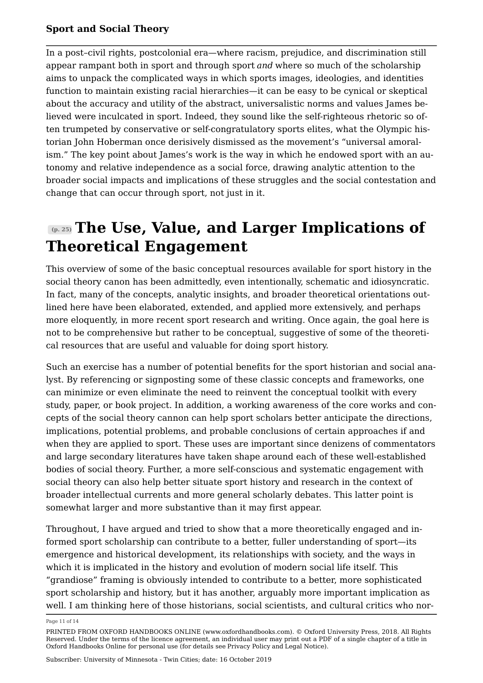In a post–civil rights, postcolonial era—where racism, prejudice, and discrimination still appear rampant both in sport and through sport *and* where so much of the scholarship aims to unpack the complicated ways in which sports images, ideologies, and identities function to maintain existing racial hierarchies—it can be easy to be cynical or skeptical about the accuracy and utility of the abstract, universalistic norms and values James believed were inculcated in sport. Indeed, they sound like the self-righteous rhetoric so often trumpeted by conservative or self-congratulatory sports elites, what the Olympic historian John Hoberman once derisively dismissed as the movement's "universal amoralism." The key point about James's work is the way in which he endowed sport with an autonomy and relative independence as a social force, drawing analytic attention to the broader social impacts and implications of these struggles and the social contestation and change that can occur through sport, not just in it.

# **(p. 25) The Use, Value, and Larger Implications of Theoretical Engagement**

This overview of some of the basic conceptual resources available for sport history in the social theory canon has been admittedly, even intentionally, schematic and idiosyncratic. In fact, many of the concepts, analytic insights, and broader theoretical orientations outlined here have been elaborated, extended, and applied more extensively, and perhaps more eloquently, in more recent sport research and writing. Once again, the goal here is not to be comprehensive but rather to be conceptual, suggestive of some of the theoretical resources that are useful and valuable for doing sport history.

Such an exercise has a number of potential benefits for the sport historian and social analyst. By referencing or signposting some of these classic concepts and frameworks, one can minimize or even eliminate the need to reinvent the conceptual toolkit with every study, paper, or book project. In addition, a working awareness of the core works and concepts of the social theory cannon can help sport scholars better anticipate the directions, implications, potential problems, and probable conclusions of certain approaches if and when they are applied to sport. These uses are important since denizens of commentators and large secondary literatures have taken shape around each of these well-established bodies of social theory. Further, a more self-conscious and systematic engagement with social theory can also help better situate sport history and research in the context of broader intellectual currents and more general scholarly debates. This latter point is somewhat larger and more substantive than it may first appear.

Throughout, I have argued and tried to show that a more theoretically engaged and informed sport scholarship can contribute to a better, fuller understanding of sport—its emergence and historical development, its relationships with society, and the ways in which it is implicated in the history and evolution of modern social life itself. This "grandiose" framing is obviously intended to contribute to a better, more sophisticated sport scholarship and history, but it has another, arguably more important implication as well. I am thinking here of those historians, social scientists, and cultural critics who nor

Page 11 of 14

PRINTED FROM OXFORD HANDBOOKS ONLINE (www.oxfordhandbooks.com). © Oxford University Press, 2018. All Rights Reserved. Under the terms of the licence agreement, an individual user may print out a PDF of a single chapter of a title in Oxford Handbooks Online for personal use (for details see Privacy Policy and Legal Notice).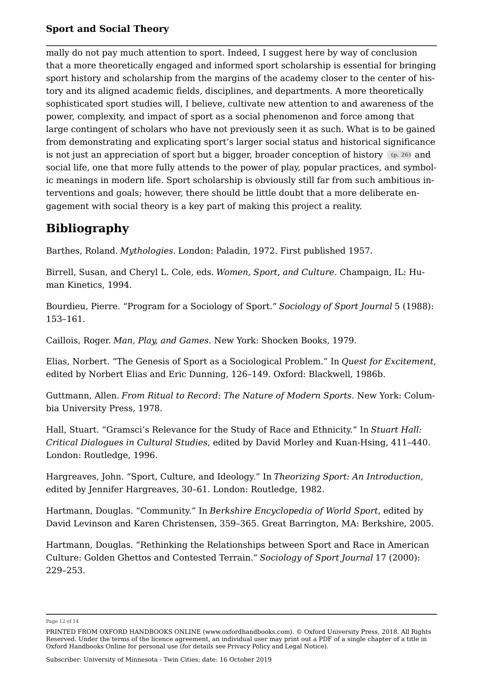mally do not pay much attention to sport. Indeed, I suggest here by way of conclusion that a more theoretically engaged and informed sport scholarship is essential for bringing sport history and scholarship from the margins of the academy closer to the center of history and its aligned academic fields, disciplines, and departments. A more theoretically sophisticated sport studies will, I believe, cultivate new attention to and awareness of the power, complexity, and impact of sport as a social phenomenon and force among that large contingent of scholars who have not previously seen it as such. What is to be gained from demonstrating and explicating sport's larger social status and historical significance is not just an appreciation of sport but a bigger, broader conception of history **(p. 26)** and social life, one that more fully attends to the power of play, popular practices, and symbolic meanings in modern life. Sport scholarship is obviously still far from such ambitious interventions and goals; however, there should be little doubt that a more deliberate engagement with social theory is a key part of making this project a reality.

### **Bibliography**

Barthes, Roland. *Mythologies.* London: Paladin, 1972. First published 1957.

Birrell, Susan, and Cheryl L. Cole, eds. *Women, Sport, and Culture*. Champaign, IL: Human Kinetics, 1994.

Bourdieu, Pierre. "Program for a Sociology of Sport." *Sociology of Sport Journal* 5 (1988): 153–161.

Caillois, Roger. *Man, Play, and Games*. New York: Shocken Books, 1979.

Elias, Norbert. "The Genesis of Sport as a Sociological Problem." In *Quest for Excitement*, edited by Norbert Elias and Eric Dunning, 126–149. Oxford: Blackwell, 1986b.

Guttmann, Allen. *From Ritual to Record: The Nature of Modern Sports*. New York: Columbia University Press, 1978.

Hall, Stuart. "Gramsci's Relevance for the Study of Race and Ethnicity." In *Stuart Hall: Critical Dialogues in Cultural Studies*, edited by David Morley and Kuan-Hsing, 411–440. London: Routledge, 1996.

Hargreaves, John. "Sport, Culture, and Ideology." In *Theorizing Sport: An Introduction*, edited by Jennifer Hargreaves, 30–61. London: Routledge, 1982.

Hartmann, Douglas. "Community." In *Berkshire Encyclopedia of World Sport*, edited by David Levinson and Karen Christensen, 359–365. Great Barrington, MA: Berkshire, 2005.

Hartmann, Douglas. "Rethinking the Relationships between Sport and Race in American Culture: Golden Ghettos and Contested Terrain." *Sociology of Sport Journal* 17 (2000): 229–253.

Page 12 of 14

PRINTED FROM OXFORD HANDBOOKS ONLINE (www.oxfordhandbooks.com). © Oxford University Press, 2018. All Rights Reserved. Under the terms of the licence agreement, an individual user may print out a PDF of a single chapter of a title in Oxford Handbooks Online for personal use (for details see Privacy Policy and Legal Notice).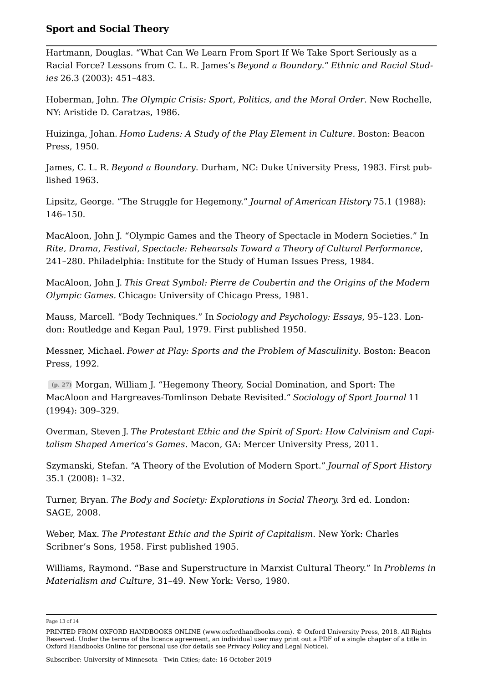Hartmann, Douglas. "What Can We Learn From Sport If We Take Sport Seriously as a Racial Force? Lessons from C. L. R. James's *Beyond a Boundary*." *Ethnic and Racial Studies* 26.3 (2003): 451–483.

Hoberman, John. *The Olympic Crisis: Sport, Politics, and the Moral Order*. New Rochelle, NY: Aristide D. Caratzas, 1986.

Huizinga, Johan. *Homo Ludens: A Study of the Play Element in Culture.* Boston: Beacon Press, 1950.

James, C. L. R. *Beyond a Boundary*. Durham, NC: Duke University Press, 1983. First published 1963.

Lipsitz, George. "The Struggle for Hegemony." *Journal of American History* 75.1 (1988): 146–150.

MacAloon, John J. "Olympic Games and the Theory of Spectacle in Modern Societies." In *Rite, Drama, Festival, Spectacle: Rehearsals Toward a Theory of Cultural Performance*, 241–280. Philadelphia: Institute for the Study of Human Issues Press, 1984.

MacAloon, John J. *This Great Symbol: Pierre de Coubertin and the Origins of the Modern Olympic Games.* Chicago: University of Chicago Press, 1981.

Mauss, Marcell. "Body Techniques." In *Sociology and Psychology: Essays*, 95–123. London: Routledge and Kegan Paul, 1979. First published 1950.

Messner, Michael. *Power at Play: Sports and the Problem of Masculinity*. Boston: Beacon Press, 1992.

**(p. 27)** Morgan, William J. "Hegemony Theory, Social Domination, and Sport: The MacAloon and Hargreaves-Tomlinson Debate Revisited." *Sociology of Sport Journal* 11 (1994): 309–329.

Overman, Steven J. *The Protestant Ethic and the Spirit of Sport: How Calvinism and Capitalism Shaped America's Games*. Macon, GA: Mercer University Press, 2011.

Szymanski, Stefan. "A Theory of the Evolution of Modern Sport." *Journal of Sport History* 35.1 (2008): 1–32.

Turner, Bryan. *The Body and Society: Explorations in Social Theory.* 3rd ed. London: SAGE, 2008.

Weber, Max. *The Protestant Ethic and the Spirit of Capitalism*. New York: Charles Scribner's Sons, 1958. First published 1905.

Williams, Raymond. "Base and Superstructure in Marxist Cultural Theory." In *Problems in Materialism and Culture*, 31–49. New York: Verso, 1980.

Page 13 of 14

PRINTED FROM OXFORD HANDBOOKS ONLINE (www.oxfordhandbooks.com). © Oxford University Press, 2018. All Rights Reserved. Under the terms of the licence agreement, an individual user may print out a PDF of a single chapter of a title in Oxford Handbooks Online for personal use (for details see Privacy Policy and Legal Notice).